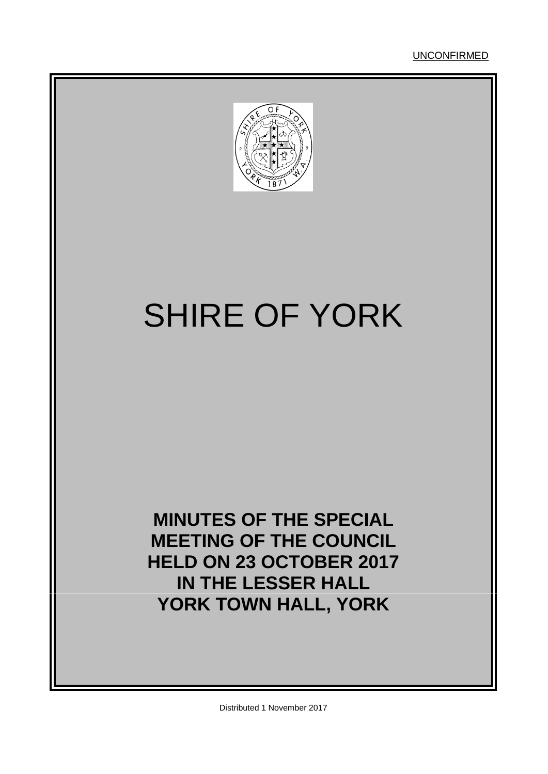

# SHIRE OF YORK

**MINUTES OF THE SPECIAL MEETING OF THE COUNCIL HELD ON 23 OCTOBER 2017 IN THE LESSER HALL YORK TOWN HALL, YORK**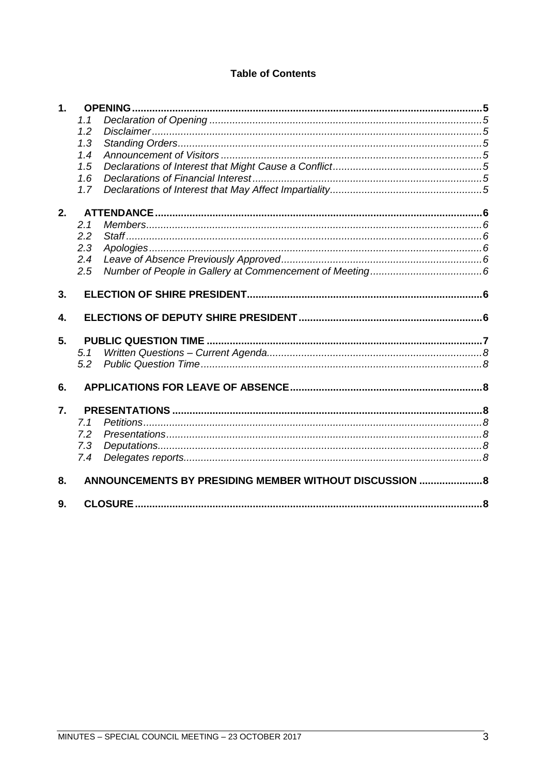# **Table of Contents**

| $\mathbf{1}$ . |                                                         |  |
|----------------|---------------------------------------------------------|--|
|                | 1.1                                                     |  |
|                | 1.2                                                     |  |
|                | 1.3                                                     |  |
|                | 1.4                                                     |  |
|                | 1.5                                                     |  |
|                | 1.6                                                     |  |
|                | 1.7                                                     |  |
| 2.             |                                                         |  |
|                | 2.1                                                     |  |
|                | 2.2                                                     |  |
|                | 2.3                                                     |  |
|                | 2.4                                                     |  |
|                | 2.5                                                     |  |
| 3.             |                                                         |  |
|                |                                                         |  |
| 4.             |                                                         |  |
| 5.             |                                                         |  |
|                | 5.1                                                     |  |
|                | 5.2                                                     |  |
| 6.             |                                                         |  |
| 7.             |                                                         |  |
|                | 7.1                                                     |  |
|                | 7.2                                                     |  |
|                | 7.3                                                     |  |
|                | 7.4                                                     |  |
| 8.             | ANNOUNCEMENTS BY PRESIDING MEMBER WITHOUT DISCUSSION  8 |  |
|                |                                                         |  |
| 9.             |                                                         |  |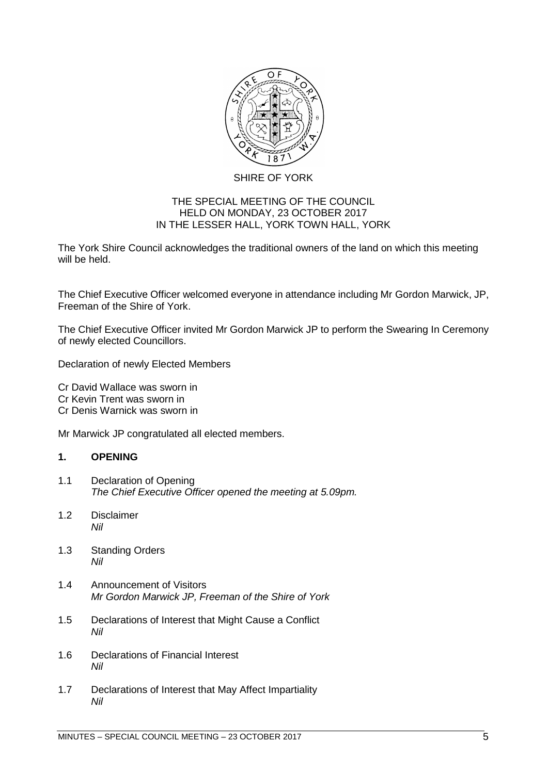

## SHIRE OF YORK

## THE SPECIAL MEETING OF THE COUNCIL HELD ON MONDAY, 23 OCTOBER 2017 IN THE LESSER HALL, YORK TOWN HALL, YORK

The York Shire Council acknowledges the traditional owners of the land on which this meeting will be held.

The Chief Executive Officer welcomed everyone in attendance including Mr Gordon Marwick, JP, Freeman of the Shire of York.

The Chief Executive Officer invited Mr Gordon Marwick JP to perform the Swearing In Ceremony of newly elected Councillors.

Declaration of newly Elected Members

Cr David Wallace was sworn in Cr Kevin Trent was sworn in Cr Denis Warnick was sworn in

Mr Marwick JP congratulated all elected members.

## <span id="page-4-0"></span>**1. OPENING**

- <span id="page-4-1"></span>1.1 Declaration of Opening *The Chief Executive Officer opened the meeting at 5.09pm.*
- <span id="page-4-2"></span>1.2 Disclaimer *Nil*
- <span id="page-4-3"></span>1.3 Standing Orders *Nil*
- <span id="page-4-4"></span>1.4 Announcement of Visitors *Mr Gordon Marwick JP, Freeman of the Shire of York*
- <span id="page-4-5"></span>1.5 Declarations of Interest that Might Cause a Conflict *Nil*
- <span id="page-4-6"></span>1.6 Declarations of Financial Interest *Nil*
- <span id="page-4-7"></span>1.7 Declarations of Interest that May Affect Impartiality *Nil*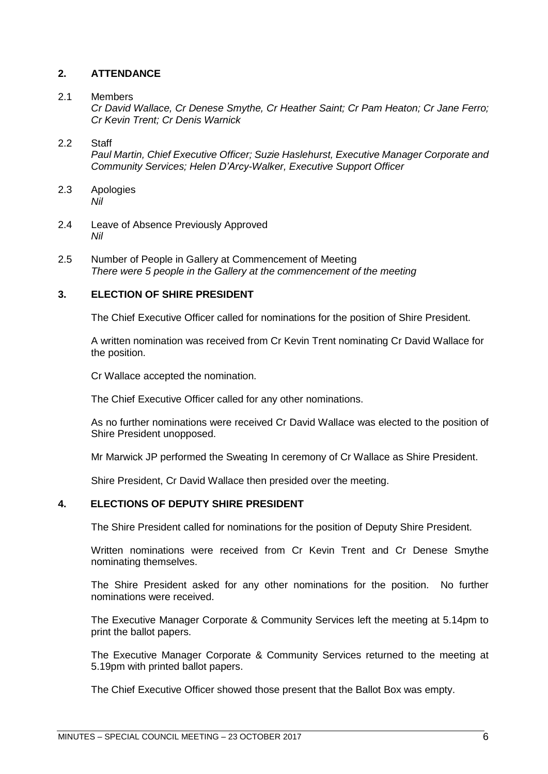## <span id="page-5-0"></span>**2. ATTENDANCE**

#### <span id="page-5-1"></span>2.1 Members

*Cr David Wallace, Cr Denese Smythe, Cr Heather Saint; Cr Pam Heaton; Cr Jane Ferro; Cr Kevin Trent; Cr Denis Warnick*

## <span id="page-5-2"></span>2.2 Staff

*Paul Martin, Chief Executive Officer; Suzie Haslehurst, Executive Manager Corporate and Community Services; Helen D'Arcy-Walker, Executive Support Officer*

- <span id="page-5-3"></span>2.3 Apologies *Nil*
- <span id="page-5-4"></span>2.4 Leave of Absence Previously Approved *Nil*
- <span id="page-5-5"></span>2.5 Number of People in Gallery at Commencement of Meeting *There were 5 people in the Gallery at the commencement of the meeting*

#### <span id="page-5-6"></span>**3. ELECTION OF SHIRE PRESIDENT**

The Chief Executive Officer called for nominations for the position of Shire President.

A written nomination was received from Cr Kevin Trent nominating Cr David Wallace for the position.

Cr Wallace accepted the nomination.

The Chief Executive Officer called for any other nominations.

As no further nominations were received Cr David Wallace was elected to the position of Shire President unopposed.

Mr Marwick JP performed the Sweating In ceremony of Cr Wallace as Shire President.

Shire President, Cr David Wallace then presided over the meeting.

## <span id="page-5-7"></span>**4. ELECTIONS OF DEPUTY SHIRE PRESIDENT**

The Shire President called for nominations for the position of Deputy Shire President.

Written nominations were received from Cr Kevin Trent and Cr Denese Smythe nominating themselves.

The Shire President asked for any other nominations for the position. No further nominations were received.

The Executive Manager Corporate & Community Services left the meeting at 5.14pm to print the ballot papers.

The Executive Manager Corporate & Community Services returned to the meeting at 5.19pm with printed ballot papers.

The Chief Executive Officer showed those present that the Ballot Box was empty.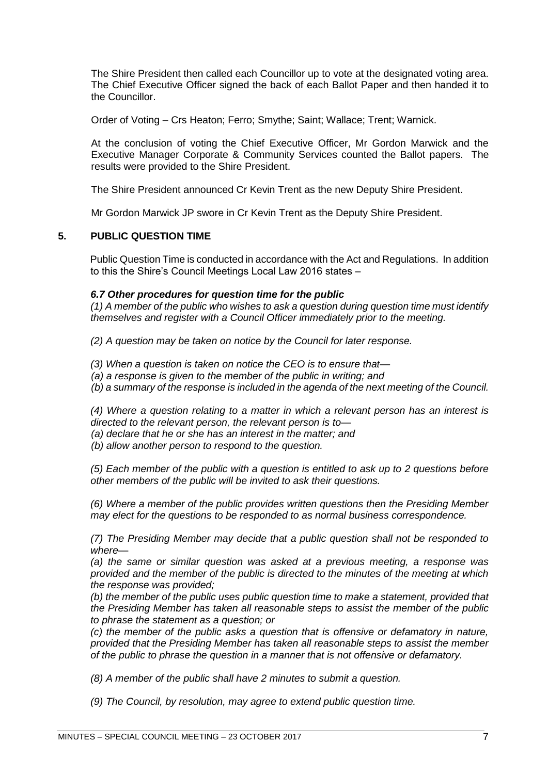The Shire President then called each Councillor up to vote at the designated voting area. The Chief Executive Officer signed the back of each Ballot Paper and then handed it to the Councillor.

Order of Voting – Crs Heaton; Ferro; Smythe; Saint; Wallace; Trent; Warnick.

At the conclusion of voting the Chief Executive Officer, Mr Gordon Marwick and the Executive Manager Corporate & Community Services counted the Ballot papers. The results were provided to the Shire President.

The Shire President announced Cr Kevin Trent as the new Deputy Shire President.

Mr Gordon Marwick JP swore in Cr Kevin Trent as the Deputy Shire President.

## <span id="page-6-0"></span>**5. PUBLIC QUESTION TIME**

Public Question Time is conducted in accordance with the Act and Regulations. In addition to this the Shire's Council Meetings Local Law 2016 states –

#### *6.7 Other procedures for question time for the public*

*(1) A member of the public who wishes to ask a question during question time must identify themselves and register with a Council Officer immediately prior to the meeting.* 

*(2) A question may be taken on notice by the Council for later response.* 

*(3) When a question is taken on notice the CEO is to ensure that—*

*(a) a response is given to the member of the public in writing; and* 

*(b) a summary of the response is included in the agenda of the next meeting of the Council.* 

*(4) Where a question relating to a matter in which a relevant person has an interest is directed to the relevant person, the relevant person is to—*

*(a) declare that he or she has an interest in the matter; and* 

*(b) allow another person to respond to the question.* 

*(5) Each member of the public with a question is entitled to ask up to 2 questions before other members of the public will be invited to ask their questions.* 

*(6) Where a member of the public provides written questions then the Presiding Member may elect for the questions to be responded to as normal business correspondence.* 

*(7) The Presiding Member may decide that a public question shall not be responded to where—*

*(a) the same or similar question was asked at a previous meeting, a response was provided and the member of the public is directed to the minutes of the meeting at which the response was provided;* 

*(b) the member of the public uses public question time to make a statement, provided that the Presiding Member has taken all reasonable steps to assist the member of the public to phrase the statement as a question; or* 

*(c) the member of the public asks a question that is offensive or defamatory in nature, provided that the Presiding Member has taken all reasonable steps to assist the member of the public to phrase the question in a manner that is not offensive or defamatory.* 

*(8) A member of the public shall have 2 minutes to submit a question.* 

*(9) The Council, by resolution, may agree to extend public question time.*